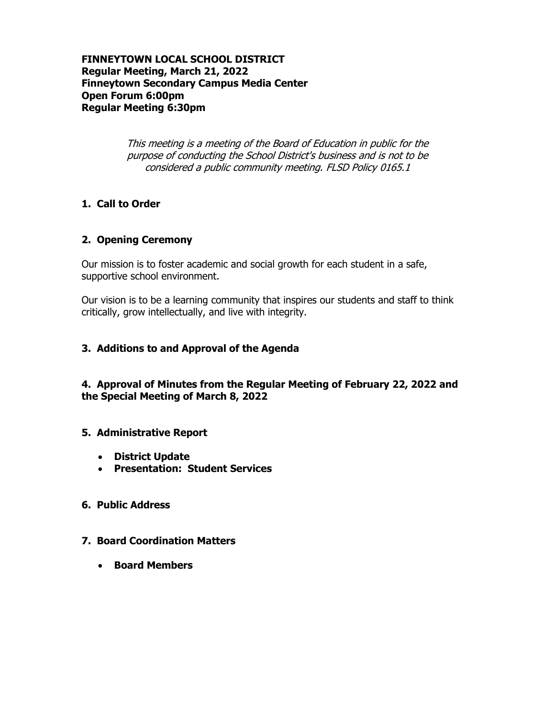**FINNEYTOWN LOCAL SCHOOL DISTRICT Regular Meeting, March 21, 2022 Finneytown Secondary Campus Media Center Open Forum 6:00pm Regular Meeting 6:30pm**

> This meeting is a meeting of the Board of Education in public for the purpose of conducting the School District's business and is not to be considered a public community meeting. FLSD Policy 0165.1

## **1. Call to Order**

### **2. Opening Ceremony**

Our mission is to foster academic and social growth for each student in a safe, supportive school environment.

Our vision is to be a learning community that inspires our students and staff to think critically, grow intellectually, and live with integrity.

### **3. Additions to and Approval of the Agenda**

**4. Approval of Minutes from the Regular Meeting of February 22, 2022 and the Special Meeting of March 8, 2022**

### **5. Administrative Report**

- **District Update**
- **Presentation: Student Services**

# **6. Public Address**

### **7. Board Coordination Matters**

**Board Members**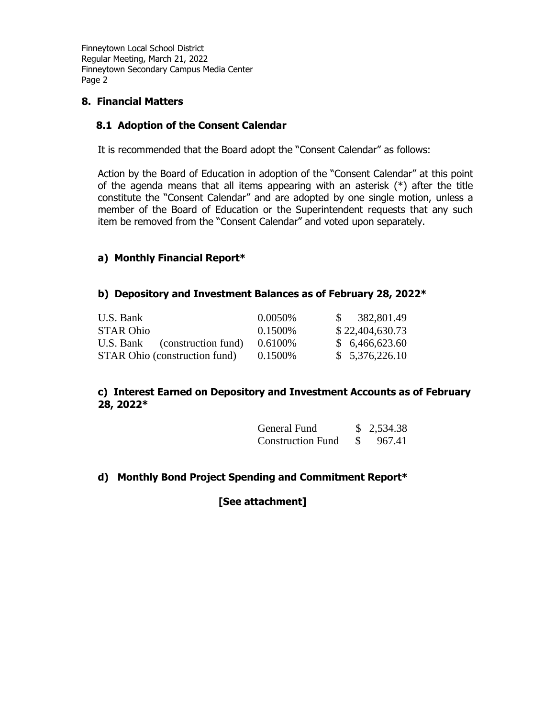# **8. Financial Matters**

### **8.1 Adoption of the Consent Calendar**

It is recommended that the Board adopt the "Consent Calendar" as follows:

Action by the Board of Education in adoption of the "Consent Calendar" at this point of the agenda means that all items appearing with an asterisk (\*) after the title constitute the "Consent Calendar" and are adopted by one single motion, unless a member of the Board of Education or the Superintendent requests that any such item be removed from the "Consent Calendar" and voted upon separately.

# **a) Monthly Financial Report\***

### **b) Depository and Investment Balances as of February 28, 2022\***

| U.S. Bank                            | 0.0050\%   | 382,801.49<br>$\mathcal{S}$ |
|--------------------------------------|------------|-----------------------------|
| <b>STAR Ohio</b>                     | 0.1500\%   | \$22,404,630.73             |
| U.S. Bank (construction fund)        | $0.6100\%$ | \$6,466,623.60              |
| <b>STAR Ohio (construction fund)</b> | $0.1500\%$ | \$5,376,226.10              |

## **c) Interest Earned on Depository and Investment Accounts as of February 28, 2022\***

| General Fund             | \$2,534.38 |
|--------------------------|------------|
| <b>Construction Fund</b> | 967.41     |

### **d) Monthly Bond Project Spending and Commitment Report\***

**[See attachment]**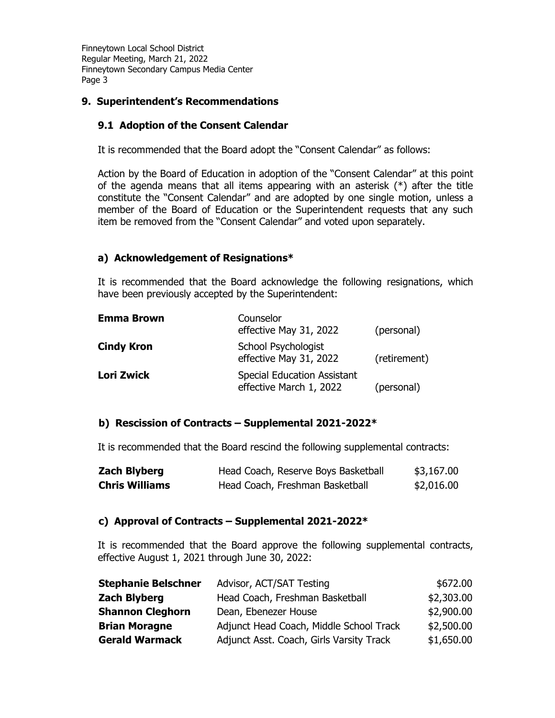# **9. Superintendent's Recommendations**

### **9.1 Adoption of the Consent Calendar**

It is recommended that the Board adopt the "Consent Calendar" as follows:

Action by the Board of Education in adoption of the "Consent Calendar" at this point of the agenda means that all items appearing with an asterisk  $(*)$  after the title constitute the "Consent Calendar" and are adopted by one single motion, unless a member of the Board of Education or the Superintendent requests that any such item be removed from the "Consent Calendar" and voted upon separately.

## **a) Acknowledgement of Resignations\***

It is recommended that the Board acknowledge the following resignations, which have been previously accepted by the Superintendent:

| <b>Emma Brown</b> | Counselor<br>effective May 31, 2022                           | (personal)   |
|-------------------|---------------------------------------------------------------|--------------|
| <b>Cindy Kron</b> | School Psychologist<br>effective May 31, 2022                 | (retirement) |
| <b>Lori Zwick</b> | <b>Special Education Assistant</b><br>effective March 1, 2022 | (personal)   |

### **b) Rescission of Contracts – Supplemental 2021-2022\***

It is recommended that the Board rescind the following supplemental contracts:

| <b>Zach Blyberg</b>   | Head Coach, Reserve Boys Basketball | \$3,167.00 |
|-----------------------|-------------------------------------|------------|
| <b>Chris Williams</b> | Head Coach, Freshman Basketball     | \$2,016.00 |

### **c) Approval of Contracts – Supplemental 2021-2022\***

It is recommended that the Board approve the following supplemental contracts, effective August 1, 2021 through June 30, 2022:

| <b>Stephanie Belschner</b> | Advisor, ACT/SAT Testing                 | \$672.00   |
|----------------------------|------------------------------------------|------------|
| <b>Zach Blyberg</b>        | Head Coach, Freshman Basketball          | \$2,303.00 |
| <b>Shannon Cleghorn</b>    | Dean, Ebenezer House                     | \$2,900.00 |
| <b>Brian Moragne</b>       | Adjunct Head Coach, Middle School Track  | \$2,500.00 |
| <b>Gerald Warmack</b>      | Adjunct Asst. Coach, Girls Varsity Track | \$1,650.00 |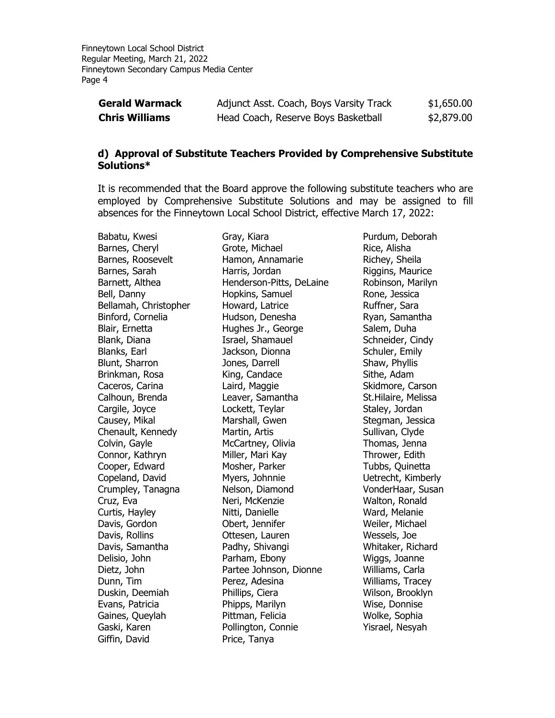| <b>Gerald Warmack</b> | Adjunct Asst. Coach, Boys Varsity Track | \$1,650.00 |
|-----------------------|-----------------------------------------|------------|
| <b>Chris Williams</b> | Head Coach, Reserve Boys Basketball     | \$2,879.00 |

#### **d) Approval of Substitute Teachers Provided by Comprehensive Substitute Solutions\***

It is recommended that the Board approve the following substitute teachers who are employed by Comprehensive Substitute Solutions and may be assigned to fill absences for the Finneytown Local School District, effective March 17, 2022:

Babatu, Kwesi Barnes, Cheryl Barnes, Roosevelt Barnes, Sarah Barnett, Althea Bell, Danny Bellamah, Christopher Binford, Cornelia Blair, Ernetta Blank, Diana Blanks, Earl Blunt, Sharron Brinkman, Rosa Caceros, Carina Calhoun, Brenda Cargile, Joyce Causey, Mikal Chenault, Kennedy Colvin, Gayle Connor, Kathryn Cooper, Edward Copeland, David Crumpley, Tanagna Cruz, Eva Curtis, Hayley Davis, Gordon Davis, Rollins Davis, Samantha Delisio, John Dietz, John Dunn, Tim Duskin, Deemiah Evans, Patricia Gaines, Queylah Gaski, Karen Giffin, David

Gray, Kiara Grote, Michael Hamon, Annamarie Harris, Jordan Henderson-Pitts, DeLaine Hopkins, Samuel Howard, Latrice Hudson, Denesha Hughes Jr., George Israel, Shamauel Jackson, Dionna Jones, Darrell King, Candace Laird, Maggie Leaver, Samantha Lockett, Teylar Marshall, Gwen Martin, Artis McCartney, Olivia Miller, Mari Kay Mosher, Parker Myers, Johnnie Nelson, Diamond Neri, McKenzie Nitti, Danielle Obert, Jennifer Ottesen, Lauren Padhy, Shivangi Parham, Ebony Partee Johnson, Dionne Perez, Adesina Phillips, Ciera Phipps, Marilyn Pittman, Felicia Pollington, Connie Price, Tanya

Purdum, Deborah Rice, Alisha Richey, Sheila Riggins, Maurice Robinson, Marilyn Rone, Jessica Ruffner, Sara Ryan, Samantha Salem, Duha Schneider, Cindy Schuler, Emily Shaw, Phyllis Sithe, Adam Skidmore, Carson St.Hilaire, Melissa Staley, Jordan Stegman, Jessica Sullivan, Clyde Thomas, Jenna Thrower, Edith Tubbs, Quinetta Uetrecht, Kimberly VonderHaar, Susan Walton, Ronald Ward, Melanie Weiler, Michael Wessels, Joe Whitaker, Richard Wiggs, Joanne Williams, Carla Williams, Tracey Wilson, Brooklyn Wise, Donnise Wolke, Sophia Yisrael, Nesyah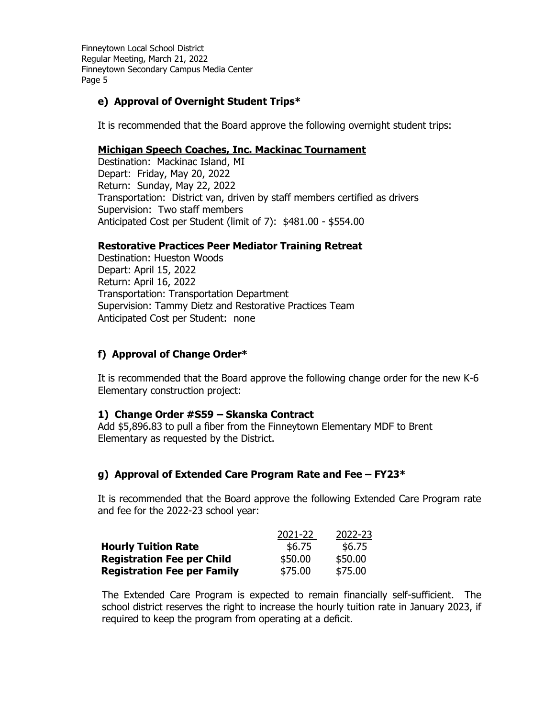# **e) Approval of Overnight Student Trips\***

It is recommended that the Board approve the following overnight student trips:

## **Michigan Speech Coaches, Inc. Mackinac Tournament**

Destination: Mackinac Island, MI Depart: Friday, May 20, 2022 Return: Sunday, May 22, 2022 Transportation: District van, driven by staff members certified as drivers Supervision: Two staff members Anticipated Cost per Student (limit of 7): \$481.00 - \$554.00

## **Restorative Practices Peer Mediator Training Retreat**

Destination: Hueston Woods Depart: April 15, 2022 Return: April 16, 2022 Transportation: Transportation Department Supervision: Tammy Dietz and Restorative Practices Team Anticipated Cost per Student: none

# **f) Approval of Change Order\***

It is recommended that the Board approve the following change order for the new K-6 Elementary construction project:

# **1) Change Order #S59 – Skanska Contract**

Add \$5,896.83 to pull a fiber from the Finneytown Elementary MDF to Brent Elementary as requested by the District.

# **g) Approval of Extended Care Program Rate and Fee – FY23\***

It is recommended that the Board approve the following Extended Care Program rate and fee for the 2022-23 school year:

|                                    | 2021-22 | 2022-23 |
|------------------------------------|---------|---------|
| <b>Hourly Tuition Rate</b>         | \$6.75  | \$6.75  |
| <b>Registration Fee per Child</b>  | \$50.00 | \$50.00 |
| <b>Registration Fee per Family</b> | \$75.00 | \$75.00 |

The Extended Care Program is expected to remain financially self-sufficient. The school district reserves the right to increase the hourly tuition rate in January 2023, if required to keep the program from operating at a deficit.